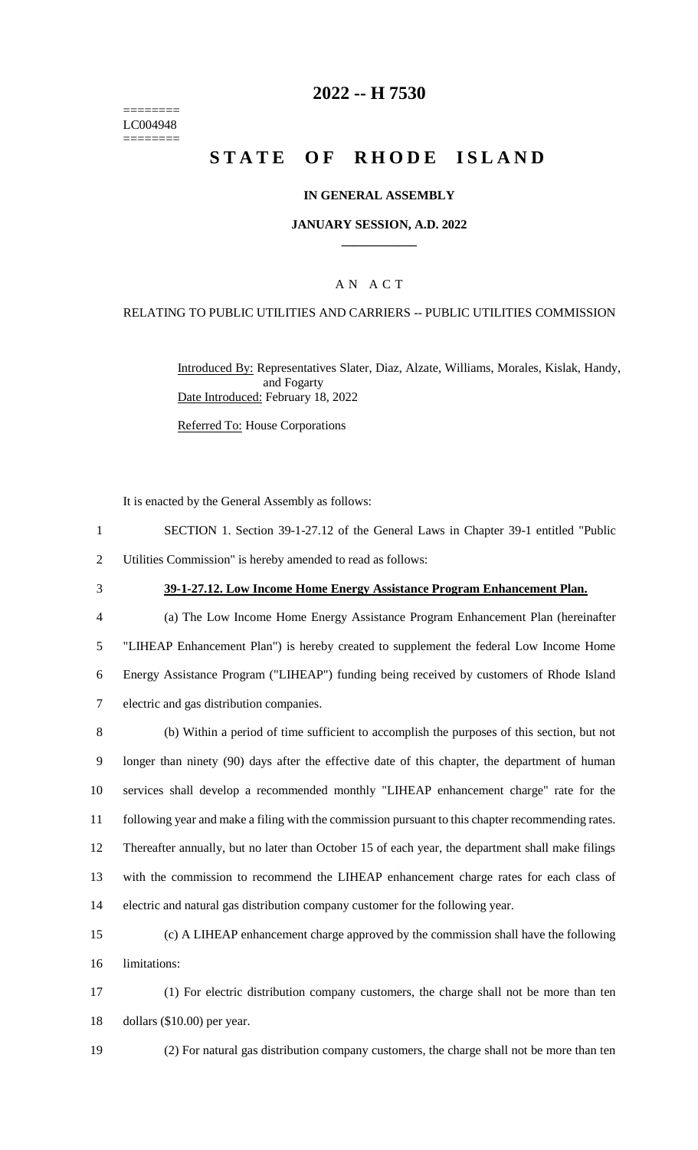======== LC004948 ========

## **2022 -- H 7530**

# **STATE OF RHODE ISLAND**

### **IN GENERAL ASSEMBLY**

#### **JANUARY SESSION, A.D. 2022 \_\_\_\_\_\_\_\_\_\_\_\_**

## A N A C T

### RELATING TO PUBLIC UTILITIES AND CARRIERS -- PUBLIC UTILITIES COMMISSION

Introduced By: Representatives Slater, Diaz, Alzate, Williams, Morales, Kislak, Handy, and Fogarty Date Introduced: February 18, 2022

Referred To: House Corporations

It is enacted by the General Assembly as follows:

- 1 SECTION 1. Section 39-1-27.12 of the General Laws in Chapter 39-1 entitled "Public 2 Utilities Commission" is hereby amended to read as follows:
- 

#### 3 **39-1-27.12. Low Income Home Energy Assistance Program Enhancement Plan.**

 (a) The Low Income Home Energy Assistance Program Enhancement Plan (hereinafter "LIHEAP Enhancement Plan") is hereby created to supplement the federal Low Income Home Energy Assistance Program ("LIHEAP") funding being received by customers of Rhode Island electric and gas distribution companies.

 (b) Within a period of time sufficient to accomplish the purposes of this section, but not longer than ninety (90) days after the effective date of this chapter, the department of human services shall develop a recommended monthly "LIHEAP enhancement charge" rate for the following year and make a filing with the commission pursuant to this chapter recommending rates. Thereafter annually, but no later than October 15 of each year, the department shall make filings with the commission to recommend the LIHEAP enhancement charge rates for each class of electric and natural gas distribution company customer for the following year.

15 (c) A LIHEAP enhancement charge approved by the commission shall have the following 16 limitations:

17 (1) For electric distribution company customers, the charge shall not be more than ten 18 dollars (\$10.00) per year.

19 (2) For natural gas distribution company customers, the charge shall not be more than ten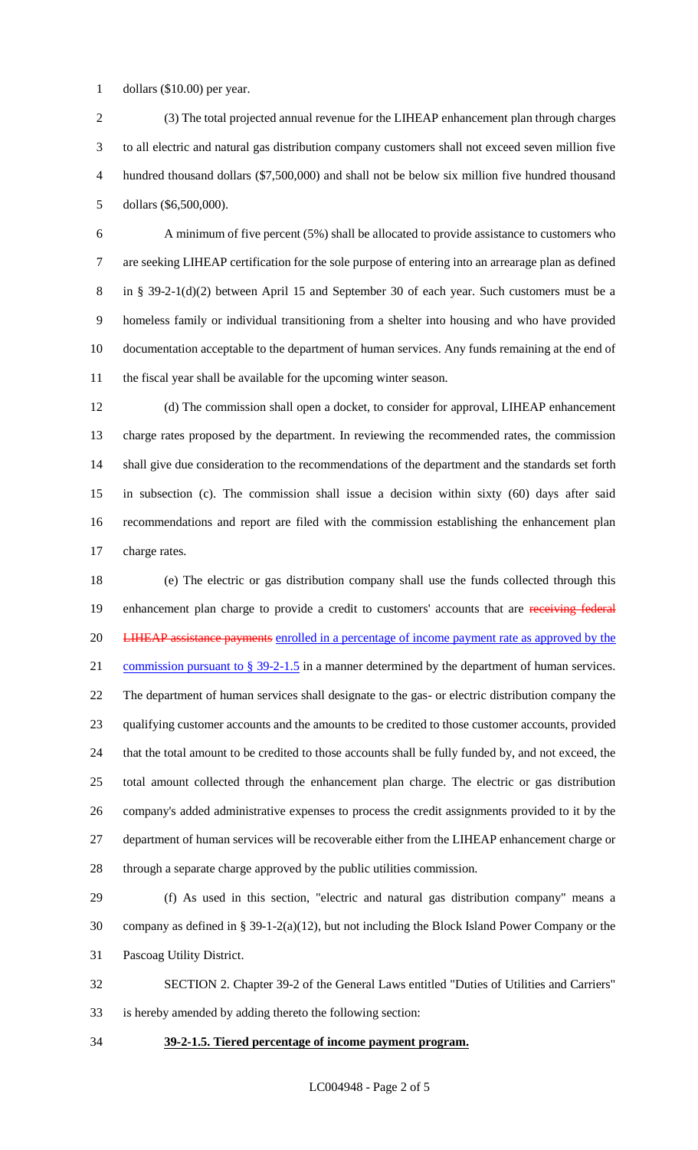dollars (\$10.00) per year.

 (3) The total projected annual revenue for the LIHEAP enhancement plan through charges to all electric and natural gas distribution company customers shall not exceed seven million five hundred thousand dollars (\$7,500,000) and shall not be below six million five hundred thousand dollars (\$6,500,000).

 A minimum of five percent (5%) shall be allocated to provide assistance to customers who are seeking LIHEAP certification for the sole purpose of entering into an arrearage plan as defined in § 39-2-1(d)(2) between April 15 and September 30 of each year. Such customers must be a homeless family or individual transitioning from a shelter into housing and who have provided documentation acceptable to the department of human services. Any funds remaining at the end of the fiscal year shall be available for the upcoming winter season.

 (d) The commission shall open a docket, to consider for approval, LIHEAP enhancement charge rates proposed by the department. In reviewing the recommended rates, the commission shall give due consideration to the recommendations of the department and the standards set forth in subsection (c). The commission shall issue a decision within sixty (60) days after said recommendations and report are filed with the commission establishing the enhancement plan charge rates.

 (e) The electric or gas distribution company shall use the funds collected through this 19 enhancement plan charge to provide a credit to customers' accounts that are receiving federal 20 LIHEAP assistance payments enrolled in a percentage of income payment rate as approved by the 21 commission pursuant to § 39-2-1.5 in a manner determined by the department of human services. The department of human services shall designate to the gas- or electric distribution company the qualifying customer accounts and the amounts to be credited to those customer accounts, provided that the total amount to be credited to those accounts shall be fully funded by, and not exceed, the total amount collected through the enhancement plan charge. The electric or gas distribution company's added administrative expenses to process the credit assignments provided to it by the department of human services will be recoverable either from the LIHEAP enhancement charge or through a separate charge approved by the public utilities commission.

 (f) As used in this section, "electric and natural gas distribution company" means a company as defined in § 39-1-2(a)(12), but not including the Block Island Power Company or the Pascoag Utility District.

 SECTION 2. Chapter 39-2 of the General Laws entitled "Duties of Utilities and Carriers" is hereby amended by adding thereto the following section:

## **39-2-1.5. Tiered percentage of income payment program.**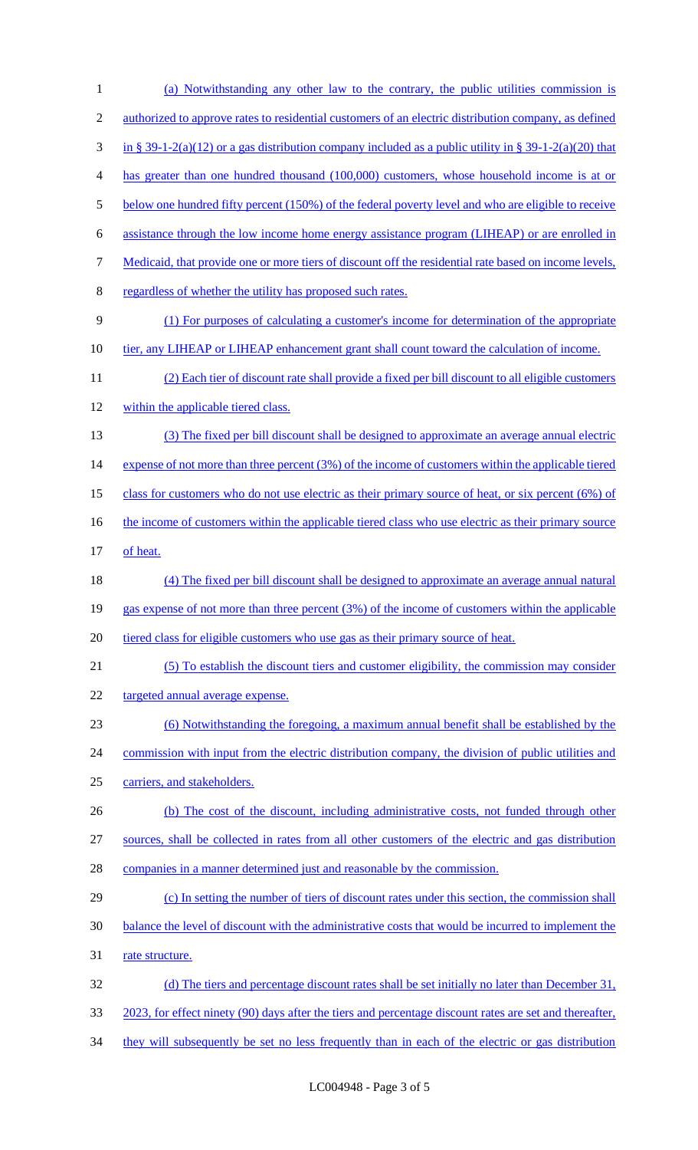| 1              | (a) Notwithstanding any other law to the contrary, the public utilities commission is                       |
|----------------|-------------------------------------------------------------------------------------------------------------|
| $\mathfrak{2}$ | <u>authorized to approve rates to residential customers of an electric distribution company, as defined</u> |
| 3              | in § 39-1-2(a)(12) or a gas distribution company included as a public utility in § 39-1-2(a)(20) that       |
| 4              | has greater than one hundred thousand (100,000) customers, whose household income is at or                  |
| 5              | below one hundred fifty percent (150%) of the federal poverty level and who are eligible to receive         |
| 6              | assistance through the low income home energy assistance program (LIHEAP) or are enrolled in                |
| 7              | Medicaid, that provide one or more tiers of discount off the residential rate based on income levels,       |
| 8              | regardless of whether the utility has proposed such rates.                                                  |
| 9              | (1) For purposes of calculating a customer's income for determination of the appropriate                    |
| 10             | tier, any LIHEAP or LIHEAP enhancement grant shall count toward the calculation of income.                  |
| 11             | (2) Each tier of discount rate shall provide a fixed per bill discount to all eligible customers            |
| 12             | within the applicable tiered class.                                                                         |
| 13             | (3) The fixed per bill discount shall be designed to approximate an average annual electric                 |
| 14             | expense of not more than three percent (3%) of the income of customers within the applicable tiered         |
| 15             | class for customers who do not use electric as their primary source of heat, or six percent $(6%)$ of       |
| 16             | the income of customers within the applicable tiered class who use electric as their primary source         |
| 17             | of heat.                                                                                                    |
| 18             | (4) The fixed per bill discount shall be designed to approximate an average annual natural                  |
| 19             | gas expense of not more than three percent (3%) of the income of customers within the applicable            |
| 20             | tiered class for eligible customers who use gas as their primary source of heat.                            |
| 21             | (5) To establish the discount tiers and customer eligibility, the commission may consider                   |
| 22             | targeted annual average expense.                                                                            |
| 23             | (6) Notwithstanding the foregoing, a maximum annual benefit shall be established by the                     |
| 24             | commission with input from the electric distribution company, the division of public utilities and          |
| 25             | carriers, and stakeholders.                                                                                 |
| 26             | (b) The cost of the discount, including administrative costs, not funded through other                      |
| 27             | sources, shall be collected in rates from all other customers of the electric and gas distribution          |
| 28             | companies in a manner determined just and reasonable by the commission.                                     |
| 29             | (c) In setting the number of tiers of discount rates under this section, the commission shall               |
| 30             | balance the level of discount with the administrative costs that would be incurred to implement the         |
| 31             | rate structure.                                                                                             |
| 32             | (d) The tiers and percentage discount rates shall be set initially no later than December 31,               |
| 33             | 2023, for effect ninety (90) days after the tiers and percentage discount rates are set and thereafter,     |
| 34             | they will subsequently be set no less frequently than in each of the electric or gas distribution           |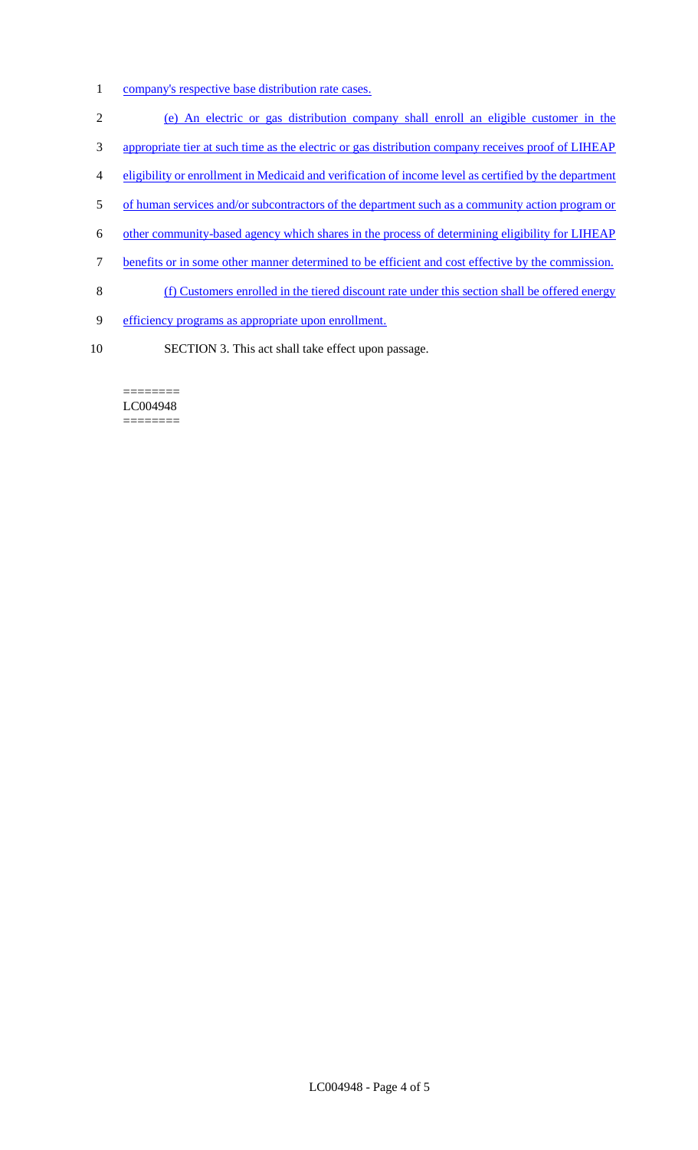- 1 company's respective base distribution rate cases.
- 2 (e) An electric or gas distribution company shall enroll an eligible customer in the
- 3 appropriate tier at such time as the electric or gas distribution company receives proof of LIHEAP
- 4 eligibility or enrollment in Medicaid and verification of income level as certified by the department
- 5 of human services and/or subcontractors of the department such as a community action program or
- 6 other community-based agency which shares in the process of determining eligibility for LIHEAP
- 7 benefits or in some other manner determined to be efficient and cost effective by the commission.
- 8 (f) Customers enrolled in the tiered discount rate under this section shall be offered energy
- 9 efficiency programs as appropriate upon enrollment.
- 10 SECTION 3. This act shall take effect upon passage.

======== LC004948 ========